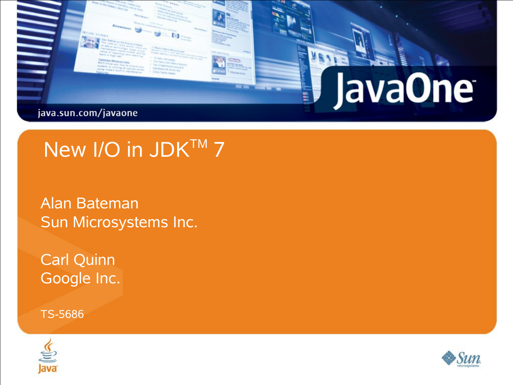

## New I/O in JDK™ 7

Alan Bateman Sun Microsystems Inc.

Carl Quinn Google Inc.

TS-5686



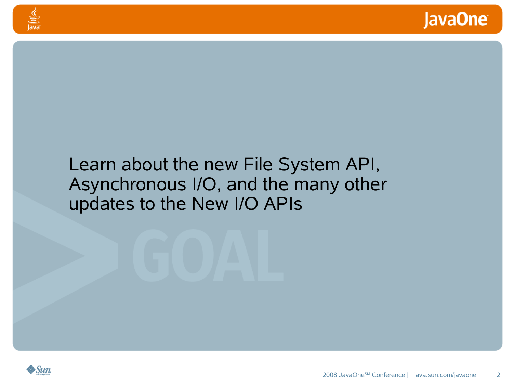#### Learn about the new File System API, Asynchronous I/O, and the many other updates to the New I/O APIs



<u>⊈</u><br>|ava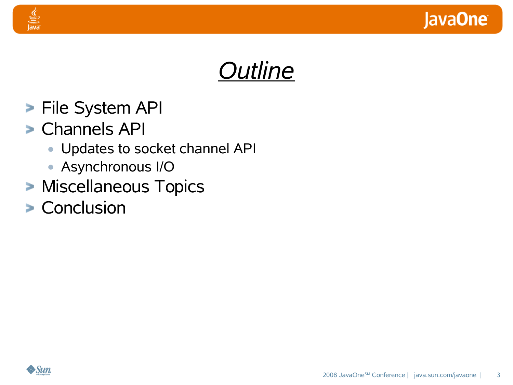



- **File System API**
- Channels API

- **•** Updates to socket channel API
- **•** Asynchronous I/O
- **> Miscellaneous Topics**
- **> Conclusion**

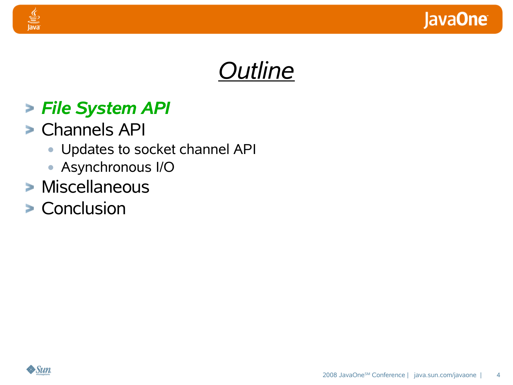

## *Outline*

#### *File System API*

Channels API

- **•** Updates to socket channel API
- **•** Asynchronous I/O
- **Miscellaneous**
- **> Conclusion**

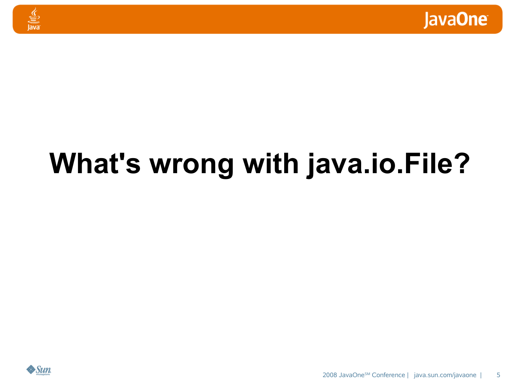



# **What's wrong with java.io.File?**

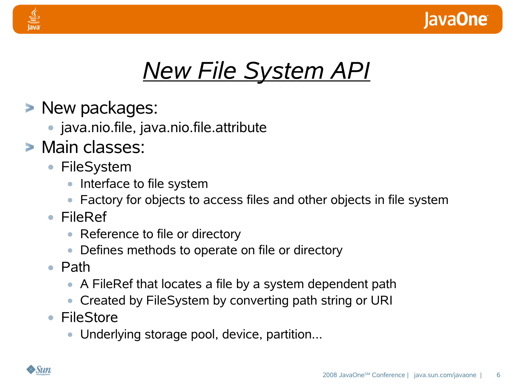

## *New File System API*

- **> New packages:** 
	- **•** java.nio.file, java.nio.file.attribute
- **> Main classes:** 
	- **•** FileSystem
		- **•** Interface to file system
		- **•** Factory for objects to access files and other objects in file system
	- **•** FileRef
		- **•** Reference to file or directory
		- **•** Defines methods to operate on file or directory
	- **•** Path
		- **•** A FileRef that locates a file by a system dependent path
		- **•** Created by FileSystem by converting path string or URI
	- **•** FileStore
		- **•** Underlying storage pool, device, partition...

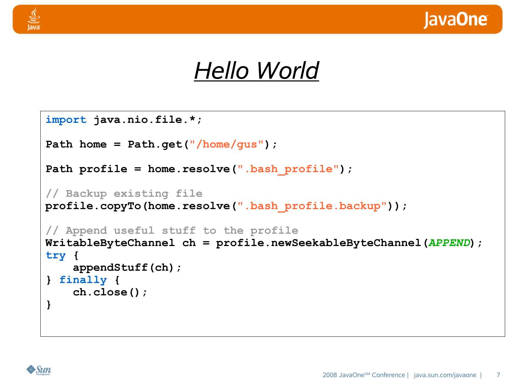

## *Hello World*

```
import java.nio.file.*;
Path home = Path.get("/home/gus");
Path profile = home.resolve(".bash_profile");
// Backup existing file
profile.copyTo(home.resolve(".bash_profile.backup"));
// Append useful stuff to the profile
WritableByteChannel ch = profile.newSeekableByteChannel(APPEND);
try {
    appendStuff(ch);
} finally {
    ch.close();
}
```
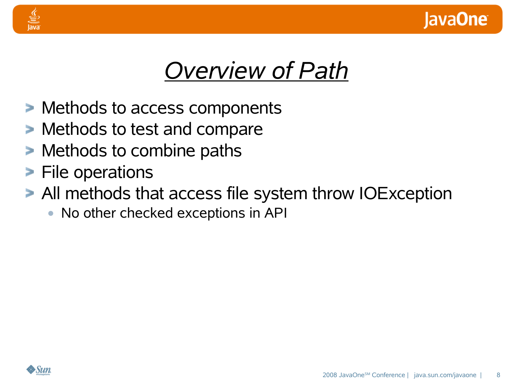



## *Overview of Path*

- Methods to access components
- Methods to test and compare
- **> Methods to combine paths**
- **File operations**
- All methods that access file system throw IOException
	- **•** No other checked exceptions in API

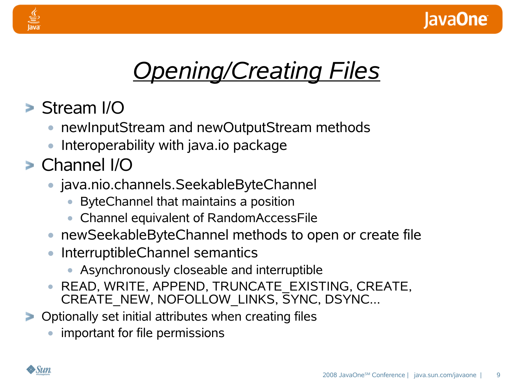

## *Opening/Creating Files*

- Stream I/O
	- **•** newInputStream and newOutputStream methods
	- **•** Interoperability with java.io package
- Channel I/O
	- **•** java.nio.channels.SeekableByteChannel
		- **•** ByteChannel that maintains a position
		- **•** Channel equivalent of RandomAccessFile
	- **•** newSeekableByteChannel methods to open or create file
	- **•** InterruptibleChannel semantics
		- **•** Asynchronously closeable and interruptible
	- **•** READ, WRITE, APPEND, TRUNCATE\_EXISTING, CREATE, CREATE\_NEW, NOFOLLOW\_LINKS, SYNC, DSYNC...
- **Deparally set initial attributes when creating files** 
	- **•** important for file permissions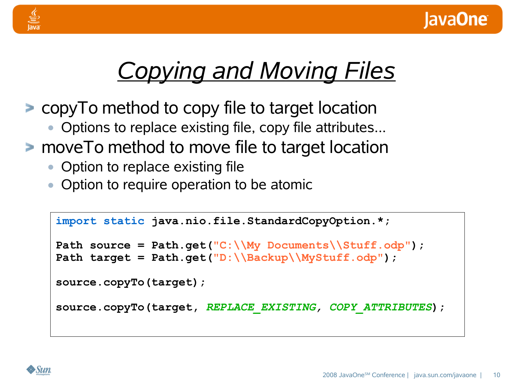



## *Copying and Moving Files*

- copyTo method to copy file to target location
	- **•** Options to replace existing file, copy file attributes...
- **Peroget Theory is absorpt Property** move To method to move file to target location
	- Option to replace existing file
	- **•** Option to require operation to be atomic

```
import static java.nio.file.StandardCopyOption.*;
Path source = Path.get("C:\\My Documents\\Stuff.odp");
Path target = Path.get("D:\\Backup\\MyStuff.odp");
source.copyTo(target);
source.copyTo(target, REPLACE_EXISTING, COPY_ATTRIBUTES);
```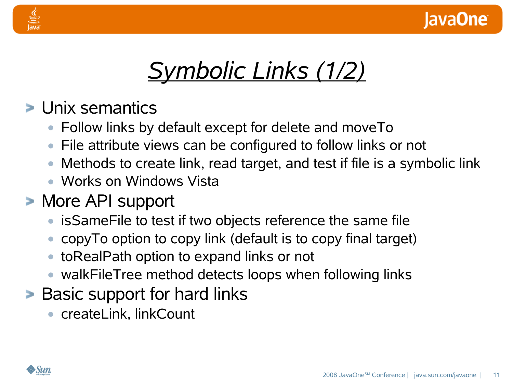



## *Symbolic Links (1/2)*

- Unix semantics
	- **•** Follow links by default except for delete and moveTo
	- **•** File attribute views can be configured to follow links or not
	- **•** Methods to create link, read target, and test if file is a symbolic link
	- **•** Works on Windows Vista
- More API support
	- **•** isSameFile to test if two objects reference the same file
	- **•** copyTo option to copy link (default is to copy final target)
	- **•** toRealPath option to expand links or not
	- **•** walkFileTree method detects loops when following links
- **Basic support for hard links** 
	- **•** createLink, linkCount

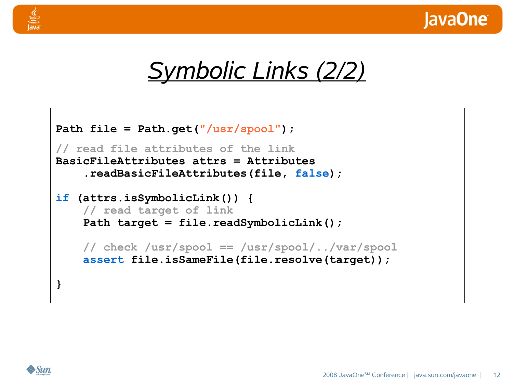



```
Path file = Path.get("/usr/spool");
// read file attributes of the link
BasicFileAttributes attrs = Attributes
    .readBasicFileAttributes(file, false);
if (attrs.isSymbolicLink()) {
    // read target of link
    Path target = file.readSymbolicLink();
    // check /usr/spool == /usr/spool/../var/spool
    assert file.isSameFile(file.resolve(target));
}
```


₹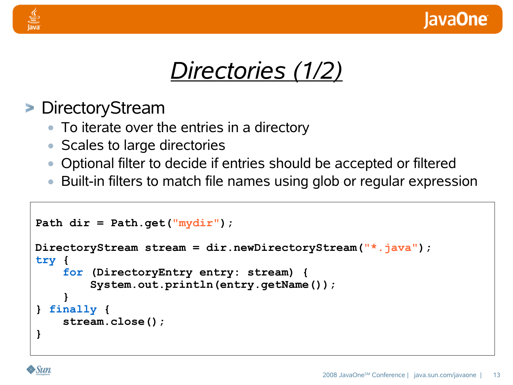



#### > DirectoryStream

- **•** To iterate over the entries in a directory
- **•** Scales to large directories
- **•** Optional filter to decide if entries should be accepted or filtered
- **•** Built-in filters to match file names using glob or regular expression

```
Path dir = Path.get("mydir");
DirectoryStream stream = dir.newDirectoryStream("*.java");
try {
    for (DirectoryEntry entry: stream) {
        System.out.println(entry.getName());
    }
} finally {
    stream.close();
}
```
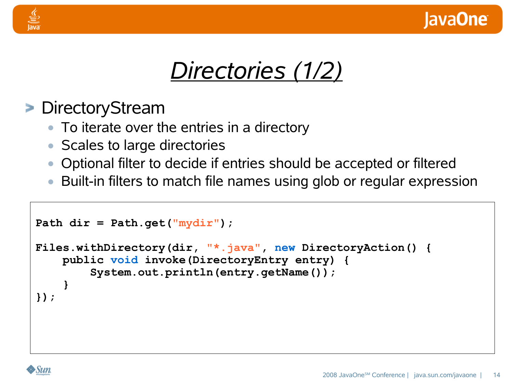



#### > DirectoryStream

- **•** To iterate over the entries in a directory
- **•** Scales to large directories
- **•** Optional filter to decide if entries should be accepted or filtered
- **•** Built-in filters to match file names using glob or regular expression

```
Path dir = Path.get("mydir");
Files.withDirectory(dir, "*.java", new DirectoryAction() {
    public void invoke(DirectoryEntry entry) {
        System.out.println(entry.getName());
    }
});
```
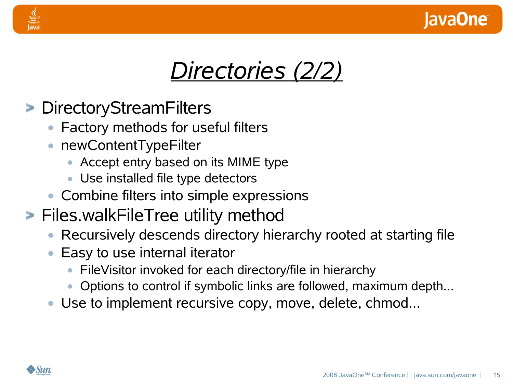

## *Directories (2/2)*

- DirectoryStreamFilters
	- **•** Factory methods for useful filters
	- **•** newContentTypeFilter
		- **•** Accept entry based on its MIME type
		- **•** Use installed file type detectors
	- **•** Combine filters into simple expressions
- **Files.walkFileTree utility method** 
	- **•** Recursively descends directory hierarchy rooted at starting file
	- **•** Easy to use internal iterator
		- **•** FileVisitor invoked for each directory/file in hierarchy
		- **•** Options to control if symbolic links are followed, maximum depth...
	- **•** Use to implement recursive copy, move, delete, chmod...

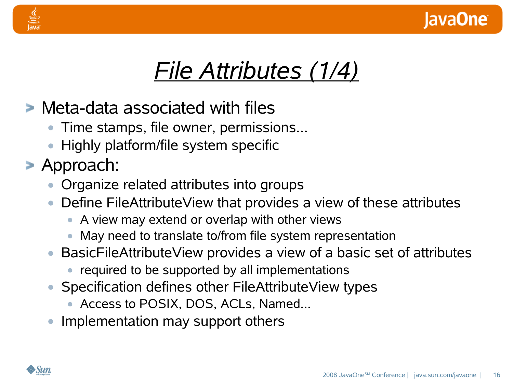

## *File Attributes (1/4)*

- Meta-data associated with files
	- **•** Time stamps, file owner, permissions...
	- **•** Highly platform/file system specific
- Approach:
	- **•** Organize related attributes into groups
	- **•** Define FileAttributeView that provides a view of these attributes
		- **•** A view may extend or overlap with other views
		- **•** May need to translate to/from file system representation
	- **•** BasicFileAttributeView provides a view of a basic set of attributes
		- **•** required to be supported by all implementations
	- **•** Specification defines other FileAttributeView types
		- **•** Access to POSIX, DOS, ACLs, Named...
	- **•** Implementation may support others

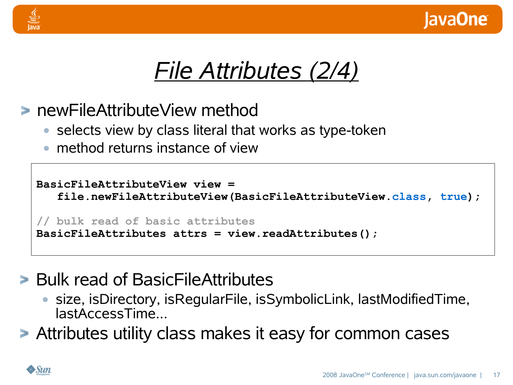



- newFileAttributeView method
	- **•** selects view by class literal that works as type-token
	- **•** method returns instance of view

```
BasicFileAttributeView view =
   file.newFileAttributeView(BasicFileAttributeView.class, true);
// bulk read of basic attributes
BasicFileAttributes attrs = view.readAttributes();
```
- **Bulk read of BasicFileAttributes** 
	- **•** size, isDirectory, isRegularFile, isSymbolicLink, lastModifiedTime, lastAccessTime...
- Attributes utility class makes it easy for common cases

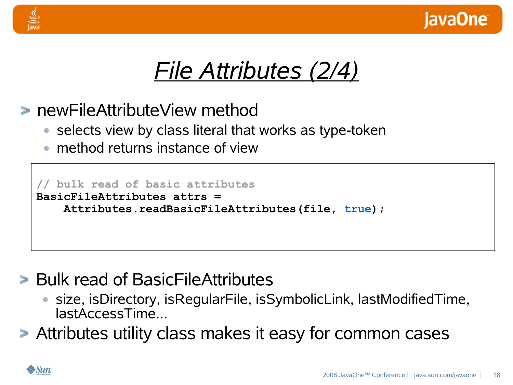

## *File Attributes (2/4)*

- newFileAttributeView method
	- **•** selects view by class literal that works as type-token
	- **•** method returns instance of view

```
// bulk read of basic attributes
BasicFileAttributes attrs =
    Attributes.readBasicFileAttributes(file, true);
```
- **Bulk read of BasicFileAttributes** 
	- **•** size, isDirectory, isRegularFile, isSymbolicLink, lastModifiedTime, lastAccessTime...
- Attributes utility class makes it easy for common cases

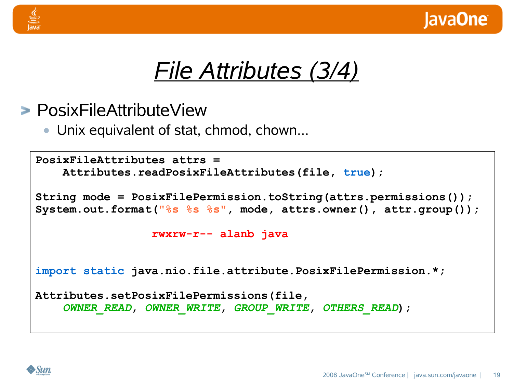



#### PosixFileAttributeView

**•** Unix equivalent of stat, chmod, chown...

```
PosixFileAttributes attrs =
    Attributes.readPosixFileAttributes(file, true);
String mode = PosixFilePermission.toString(attrs.permissions());
System.out.format("%s %s %s", mode, attrs.owner(), attr.group());
                 rwxrw-r-- alanb java
import static java.nio.file.attribute.PosixFilePermission.*;
Attributes.setPosixFilePermissions(file,
    OWNER_READ, OWNER_WRITE, GROUP_WRITE, OTHERS_READ);
```
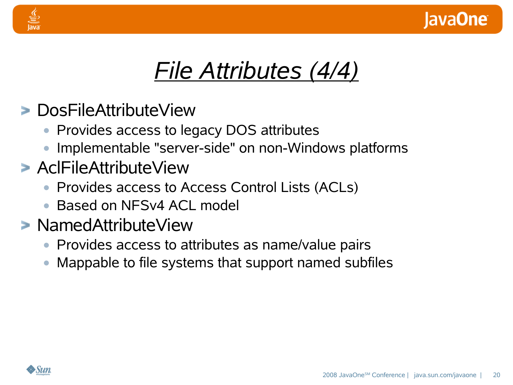

## *File Attributes (4/4)*

- DosFileAttributeView
	- **•** Provides access to legacy DOS attributes
	- **•** Implementable "server-side" on non-Windows platforms
- AclFileAttributeView
	- **•** Provides access to Access Control Lists (ACLs)
	- **•** Based on NFSv4 ACL model
- NamedAttributeView
	- **•** Provides access to attributes as name/value pairs
	- **•** Mappable to file systems that support named subfiles

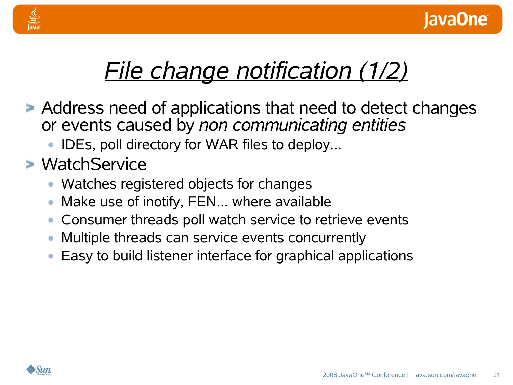

## *File change notification (1/2)*

- Address need of applications that need to detect changes or events caused by *non communicating entities*
	- **•** IDEs, poll directory for WAR files to deploy...

### WatchService

- **•** Watches registered objects for changes
- **•** Make use of inotify, FEN... where available
- **•** Consumer threads poll watch service to retrieve events
- **•** Multiple threads can service events concurrently
- **•** Easy to build listener interface for graphical applications

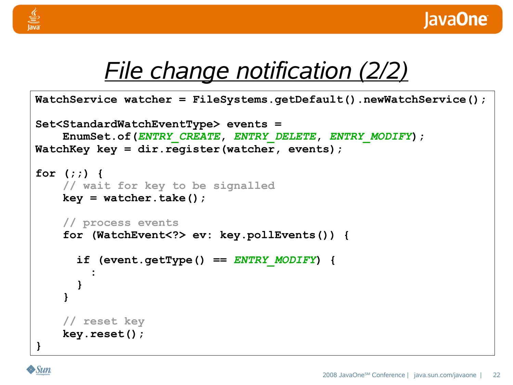



## *File change notification (2/2)*

```
WatchService watcher = FileSystems.getDefault().newWatchService();
Set<StandardWatchEventType> events =
    EnumSet.of(ENTRY_CREATE, ENTRY_DELETE, ENTRY_MODIFY);
WatchKey key = dir.register(watcher, events);
for (;;) {
    // wait for key to be signalled
    key = watcher.take();
    // process events
    for (WatchEvent<?> ev: key.pollEvents()) {
      if (event.getType() == ENTRY_MODIFY) {
        :
      }
    }
    // reset key
    key.reset();
}
```
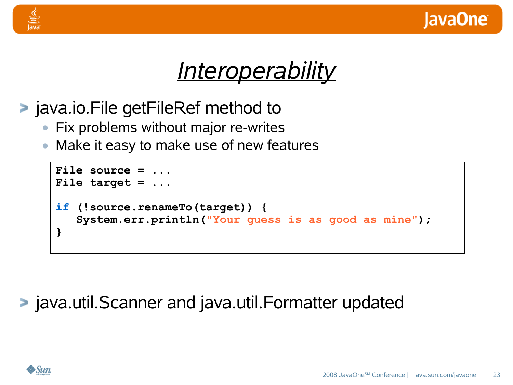



- java.io.File getFileRef method to
	- **•** Fix problems without major re-writes
	- **•** Make it easy to make use of new features

```
File source = ...
File target = ...
if (!source.renameTo(target)) {
   System.err.println("Your guess is as good as mine");
}
```
#### java.util.Scanner and java.util.Formatter updated

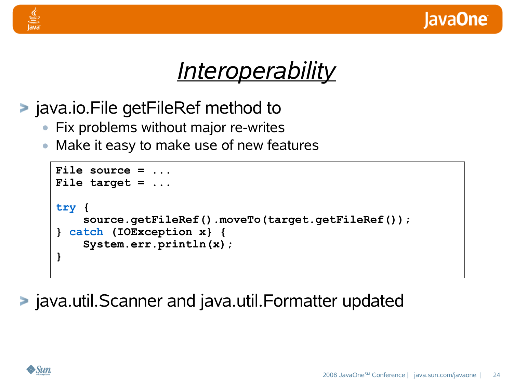



- java.io.File getFileRef method to
	- **•** Fix problems without major re-writes
	- **•** Make it easy to make use of new features

```
File source = ...
File target = ...
try {
    source.getFileRef().moveTo(target.getFileRef());
} catch (IOException x} {
    System.err.println(x);
}
```
java.util.Scanner and java.util.Formatter updated

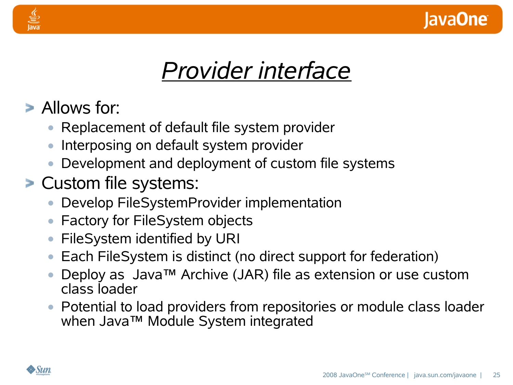

## *Provider interface*

- Allows for:
	- **•** Replacement of default file system provider
	- **•** Interposing on default system provider
	- **•** Development and deployment of custom file systems
- Custom file systems:
	- **•** Develop FileSystemProvider implementation
	- **•** Factory for FileSystem objects
	- **•** FileSystem identified by URI
	- **•** Each FileSystem is distinct (no direct support for federation)
	- **•** Deploy as Java™ Archive (JAR) file as extension or use custom class loader
	- **•** Potential to load providers from repositories or module class loader when Java™ Module System integrated

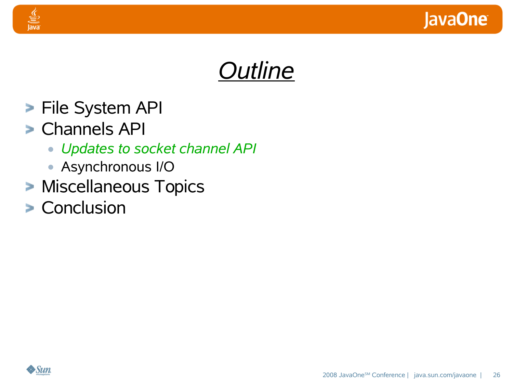



- **File System API**
- Channels API

- **•** *Updates to socket channel API*
- **•** Asynchronous I/O
- **> Miscellaneous Topics**
- **> Conclusion**

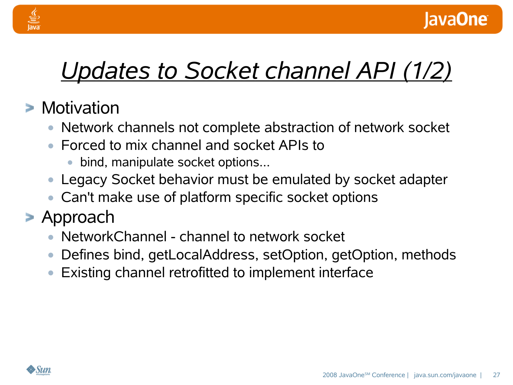

## *Updates to Socket channel API (1/2)*

### **> Motivation**

- **•** Network channels not complete abstraction of network socket
- **•** Forced to mix channel and socket APIs to
	- **•** bind, manipulate socket options...
- **•** Legacy Socket behavior must be emulated by socket adapter
- **•** Can't make use of platform specific socket options
- Approach
	- **•** NetworkChannel channel to network socket
	- **•** Defines bind, getLocalAddress, setOption, getOption, methods
	- **•** Existing channel retrofitted to implement interface

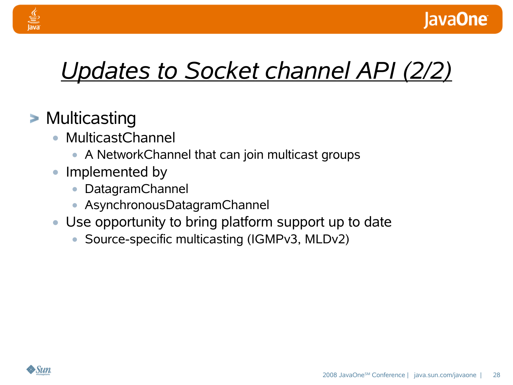

## *Updates to Socket channel API (2/2)*

### **> Multicasting**

- **•** MulticastChannel
	- **•** A NetworkChannel that can join multicast groups
- **•** Implemented by
	- **•** DatagramChannel
	- **•** AsynchronousDatagramChannel
- **•** Use opportunity to bring platform support up to date
	- **•** Source-specific multicasting (IGMPv3, MLDv2)

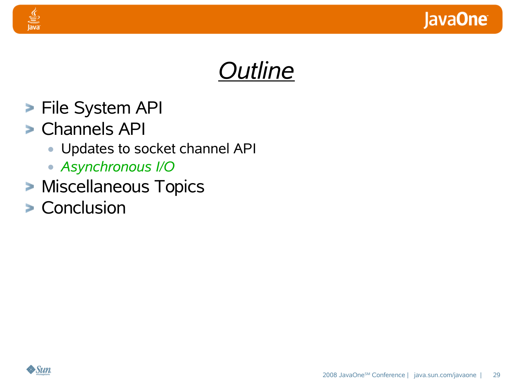



- **File System API**
- Channels API

- **•** Updates to socket channel API
- **•** *Asynchronous I/O*
- **> Miscellaneous Topics**
- **> Conclusion**

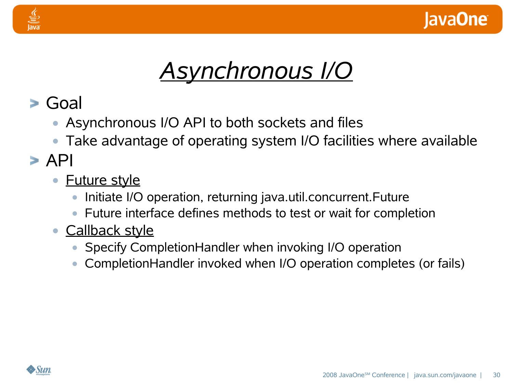



#### Goal

- **•** Asynchronous I/O API to both sockets and files
- **•** Take advantage of operating system I/O facilities where available

#### $\triangleright$  API

- **•** Future style
	- **•** Initiate I/O operation, returning java.util.concurrent.Future
	- **•** Future interface defines methods to test or wait for completion
- **•** Callback style
	- **•** Specify CompletionHandler when invoking I/O operation
	- **•** CompletionHandler invoked when I/O operation completes (or fails)

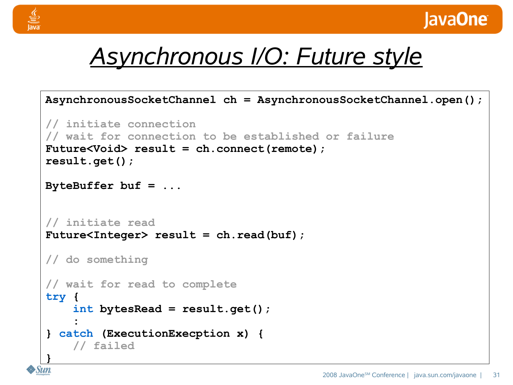



## *Asynchronous I/O: Future style*

```
AsynchronousSocketChannel ch = AsynchronousSocketChannel.open();
// initiate connection
// wait for connection to be established or failure
Future<Void> result = ch.connect(remote);
result.get();
ByteBuffer buf = ...
// initiate read
Future<Integer> result = ch.read(buf);
// do something
// wait for read to complete
try {
    int bytesRead = result.get();
    :
} catch (ExecutionExecption x) {
    // failed
}
```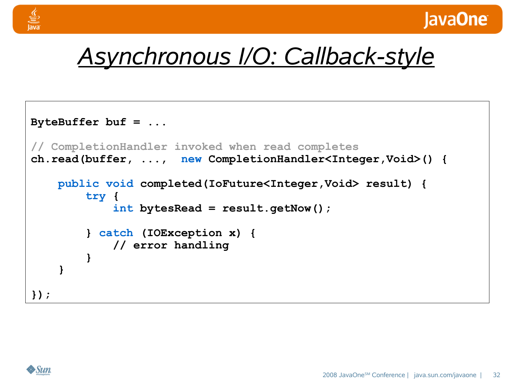



## *Asynchronous I/O: Callback-style*

```
ByteBuffer buf = ...
// CompletionHandler invoked when read completes
ch.read(buffer, ..., new CompletionHandler<Integer,Void>() {
    public void completed(IoFuture<Integer,Void> result) {
        try {
            int bytesRead = result.getNow();
        } catch (IOException x) {
            // error handling
        }
    }
});
```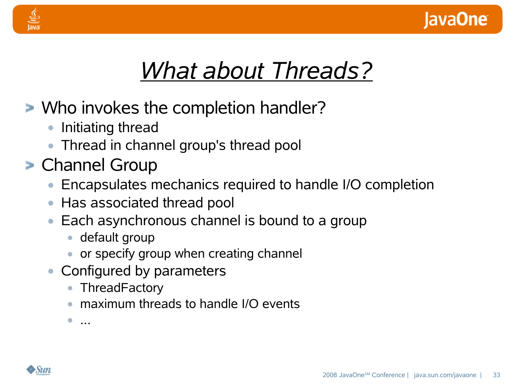

## *What about Threads?*

- Who invokes the completion handler?
	- **•** Initiating thread
	- **•** Thread in channel group's thread pool
- Channel Group
	- **•** Encapsulates mechanics required to handle I/O completion
	- **•** Has associated thread pool
	- **•** Each asynchronous channel is bound to a group
		- **•** default group
		- **•** or specify group when creating channel
	- **•** Configured by parameters
		- **•** ThreadFactory
		- **•** maximum threads to handle I/O events

**•** ...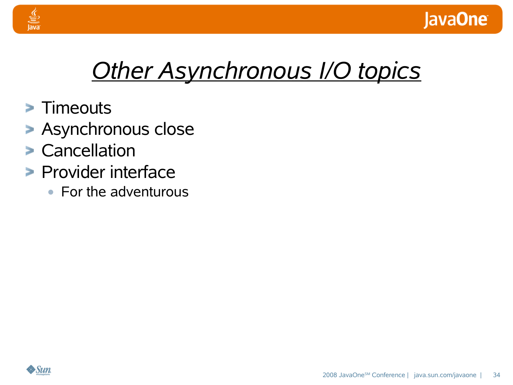

## *Other Asynchronous I/O topics*

**> Timeouts** 

- **> Asynchronous close**
- Cancellation
- **Provider interface** 
	- **•** For the adventurous

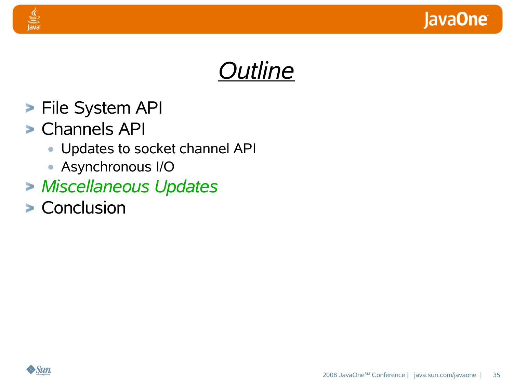



- **File System API**
- Channels API

- **•** Updates to socket channel API
- **•** Asynchronous I/O
- *Miscellaneous Updates*
- **> Conclusion**

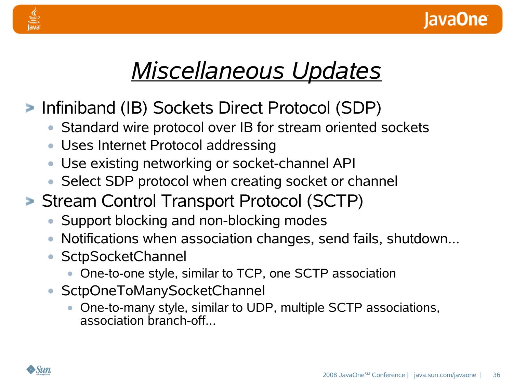

## *Miscellaneous Updates*

- Infiniband (IB) Sockets Direct Protocol (SDP)
	- **•** Standard wire protocol over IB for stream oriented sockets
	- **•** Uses Internet Protocol addressing
	- **•** Use existing networking or socket-channel API
	- **•** Select SDP protocol when creating socket or channel
- **Stream Control Transport Protocol (SCTP)** 
	- **•** Support blocking and non-blocking modes
	- **•** Notifications when association changes, send fails, shutdown...
	- **•** SctpSocketChannel
		- **•** One-to-one style, similar to TCP, one SCTP association
	- **•** SctpOneToManySocketChannel
		- **•** One-to-many style, similar to UDP, multiple SCTP associations, association branch-off...

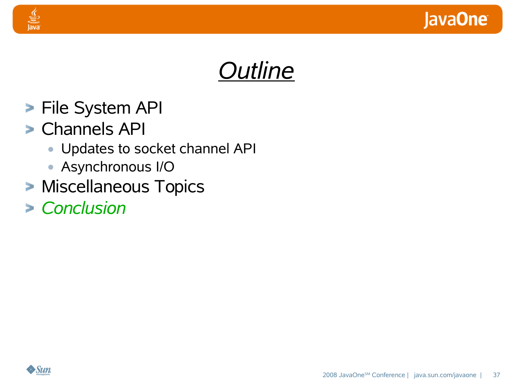



- **File System API**
- Channels API

- **•** Updates to socket channel API
- **•** Asynchronous I/O
- **> Miscellaneous Topics**
- *Conclusion*

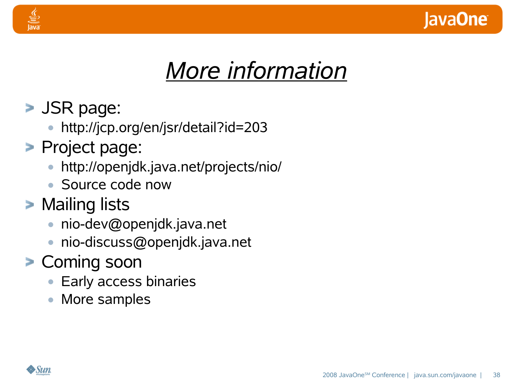

## *More information*

- **SIDE:** SIDE:
	- **•** http://jcp.org/en/jsr/detail?id=203
- **Project page:** 
	- **•** http://openjdk.java.net/projects/nio/
	- **•** Source code now
- **> Mailing lists** 
	- **•** nio-dev@openjdk.java.net
	- **•** nio-discuss@openjdk.java.net
- Coming soon
	- **•** Early access binaries
	- **•** More samples